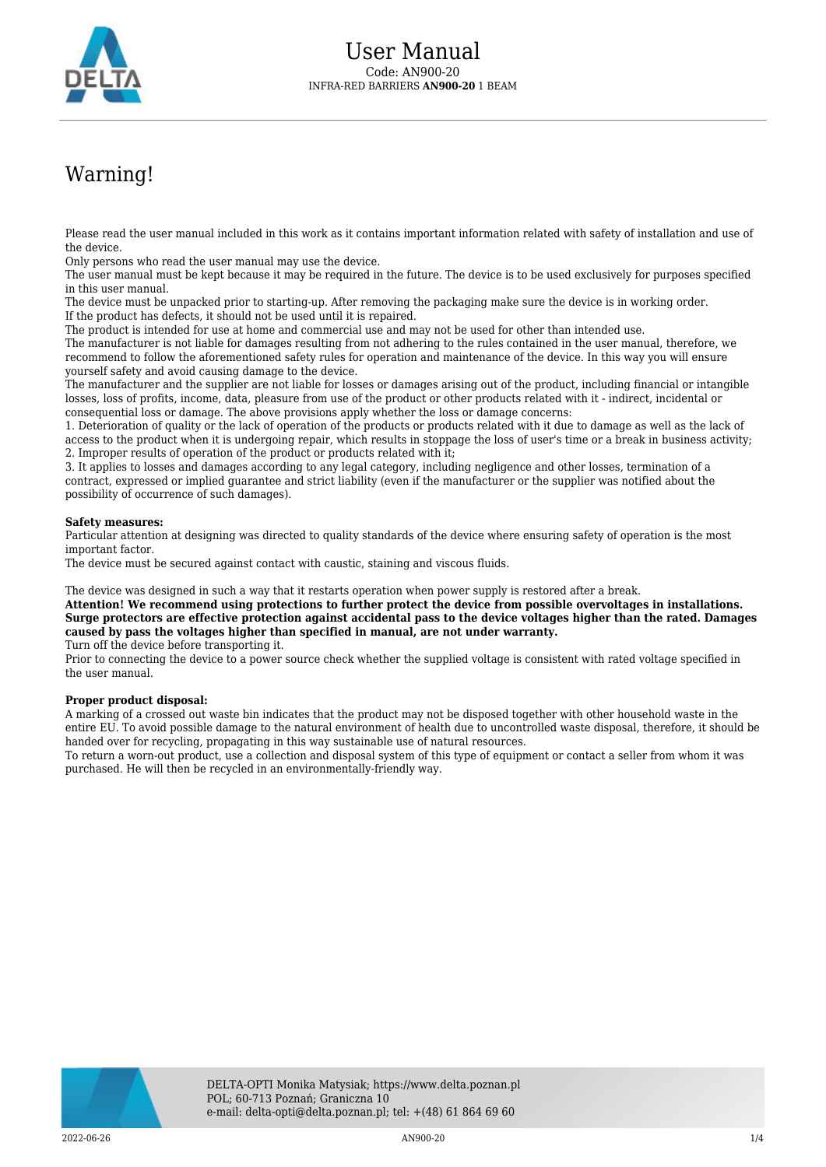

## Warning!

Please read the user manual included in this work as it contains important information related with safety of installation and use of the device.

Only persons who read the user manual may use the device.

The user manual must be kept because it may be required in the future. The device is to be used exclusively for purposes specified in this user manual.

The device must be unpacked prior to starting-up. After removing the packaging make sure the device is in working order. If the product has defects, it should not be used until it is repaired.

The product is intended for use at home and commercial use and may not be used for other than intended use.

The manufacturer is not liable for damages resulting from not adhering to the rules contained in the user manual, therefore, we recommend to follow the aforementioned safety rules for operation and maintenance of the device. In this way you will ensure yourself safety and avoid causing damage to the device.

The manufacturer and the supplier are not liable for losses or damages arising out of the product, including financial or intangible losses, loss of profits, income, data, pleasure from use of the product or other products related with it - indirect, incidental or consequential loss or damage. The above provisions apply whether the loss or damage concerns:

1. Deterioration of quality or the lack of operation of the products or products related with it due to damage as well as the lack of access to the product when it is undergoing repair, which results in stoppage the loss of user's time or a break in business activity; 2. Improper results of operation of the product or products related with it;

3. It applies to losses and damages according to any legal category, including negligence and other losses, termination of a contract, expressed or implied guarantee and strict liability (even if the manufacturer or the supplier was notified about the possibility of occurrence of such damages).

## **Safety measures:**

Particular attention at designing was directed to quality standards of the device where ensuring safety of operation is the most important factor.

The device must be secured against contact with caustic, staining and viscous fluids.

The device was designed in such a way that it restarts operation when power supply is restored after a break.

**Attention! We recommend using protections to further protect the device from possible overvoltages in installations. Surge protectors are effective protection against accidental pass to the device voltages higher than the rated. Damages caused by pass the voltages higher than specified in manual, are not under warranty.**

Turn off the device before transporting it.

Prior to connecting the device to a power source check whether the supplied voltage is consistent with rated voltage specified in the user manual.

## **Proper product disposal:**

A marking of a crossed out waste bin indicates that the product may not be disposed together with other household waste in the entire EU. To avoid possible damage to the natural environment of health due to uncontrolled waste disposal, therefore, it should be handed over for recycling, propagating in this way sustainable use of natural resources.

To return a worn-out product, use a collection and disposal system of this type of equipment or contact a seller from whom it was purchased. He will then be recycled in an environmentally-friendly way.

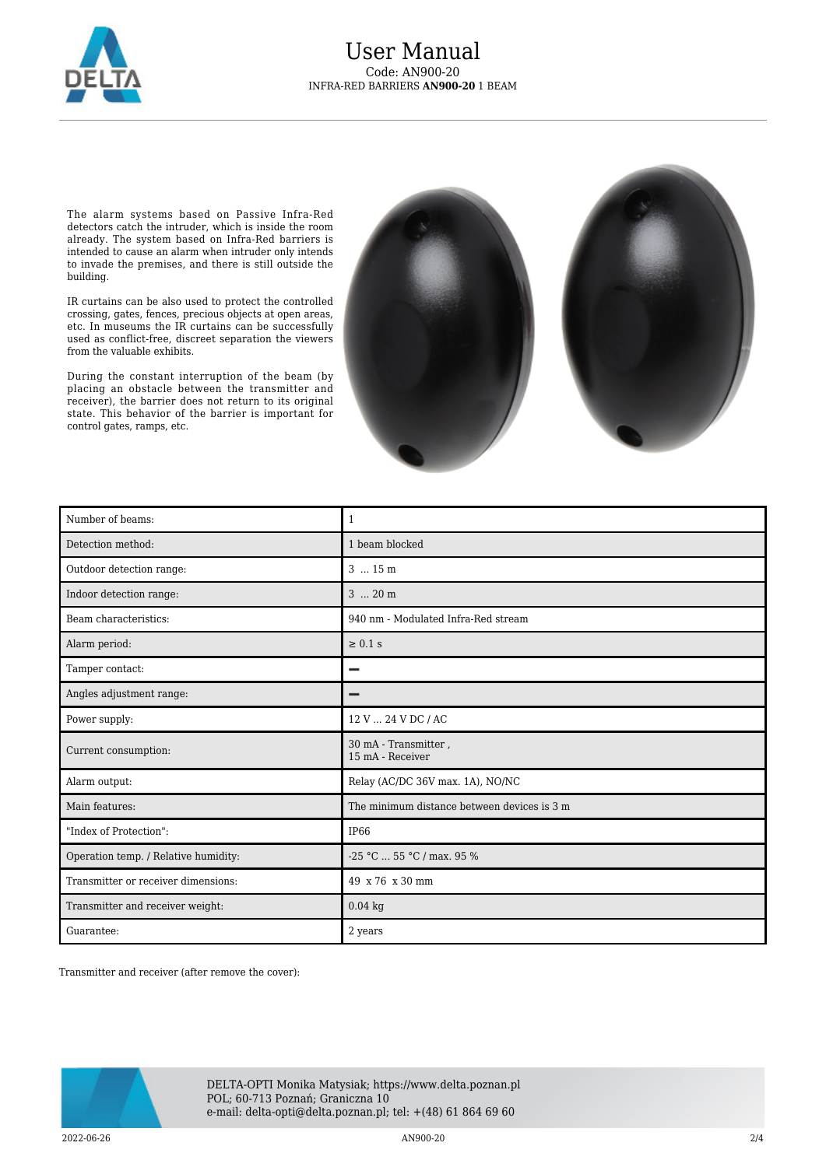

The alarm systems based on Passive Infra-Red detectors catch the intruder, which is inside the room already. The system based on Infra-Red barriers is intended to cause an alarm when intruder only intends to invade the premises, and there is still outside the building.

IR curtains can be also used to protect the controlled crossing, gates, fences, precious objects at open areas, etc. In museums the IR curtains can be successfully used as conflict-free, discreet separation the viewers from the valuable exhibits.

During the constant interruption of the beam (by placing an obstacle between the transmitter and receiver), the barrier does not return to its original state. This behavior of the barrier is important for control gates, ramps, etc.



| Number of beams:                     | $\mathbf{1}$                                |
|--------------------------------------|---------------------------------------------|
| Detection method:                    | 1 beam blocked                              |
| Outdoor detection range:             | 3  15 m                                     |
| Indoor detection range:              | $3 \dots 20$ m                              |
| Beam characteristics:                | 940 nm - Modulated Infra-Red stream         |
| Alarm period:                        | $\geq 0.1$ s                                |
| Tamper contact:                      |                                             |
| Angles adjustment range:             |                                             |
| Power supply:                        | 12 V  24 V DC / AC                          |
| Current consumption:                 | 30 mA - Transmitter,<br>15 mA - Receiver    |
| Alarm output:                        | Relay (AC/DC 36V max. 1A), NO/NC            |
| Main features:                       | The minimum distance between devices is 3 m |
| "Index of Protection":               | <b>IP66</b>                                 |
| Operation temp. / Relative humidity: | $-25$ °C  55 °C / max. 95 %                 |
| Transmitter or receiver dimensions:  | 49 x 76 x 30 mm                             |
| Transmitter and receiver weight:     | $0.04$ kg                                   |
| Guarantee:                           | 2 years                                     |

Transmitter and receiver (after remove the cover):

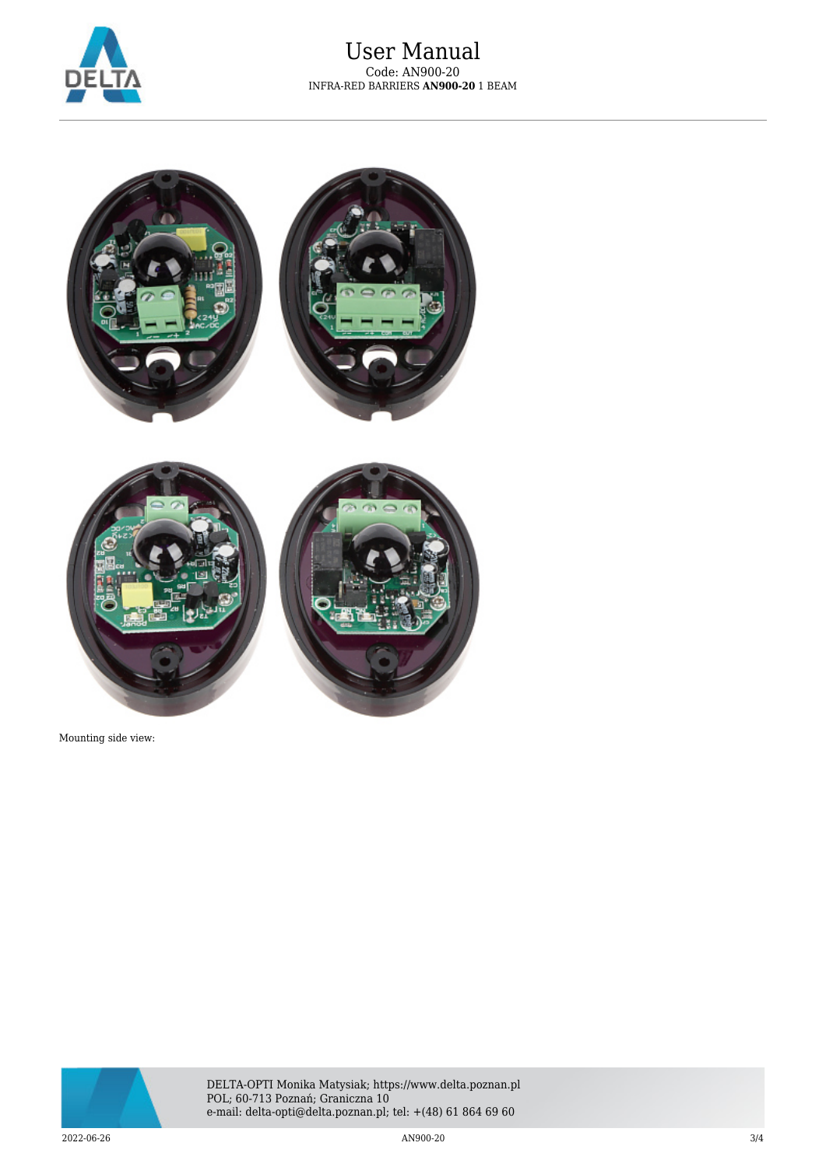



Mounting side view:



DELTA-OPTI Monika Matysiak; https://www.delta.poznan.pl POL; 60-713 Poznań; Graniczna 10 e-mail: delta-opti@delta.poznan.pl; tel: +(48) 61 864 69 60

 $2022$ -06-26  $3/4$